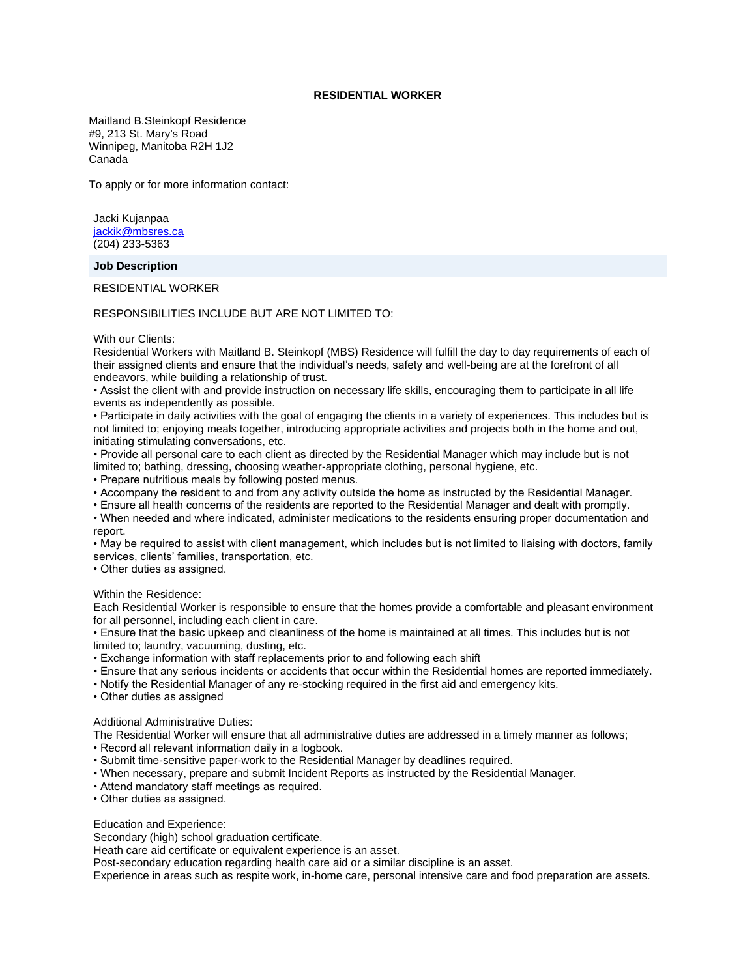# **RESIDENTIAL WORKER**

Maitland B.Steinkopf Residence #9, 213 St. Mary's Road Winnipeg, Manitoba R2H 1J2 Canada

To apply or for more information contact:

Jacki Kujanpaa [jackik@mbsres.ca](mailto:jackik@mbsres.ca) (204) 233-5363

### **Job Description**

RESIDENTIAL WORKER

RESPONSIBILITIES INCLUDE BUT ARE NOT LIMITED TO:

## With our Clients:

Residential Workers with Maitland B. Steinkopf (MBS) Residence will fulfill the day to day requirements of each of their assigned clients and ensure that the individual's needs, safety and well-being are at the forefront of all endeavors, while building a relationship of trust.

• Assist the client with and provide instruction on necessary life skills, encouraging them to participate in all life events as independently as possible.

• Participate in daily activities with the goal of engaging the clients in a variety of experiences. This includes but is not limited to; enjoying meals together, introducing appropriate activities and projects both in the home and out, initiating stimulating conversations, etc.

• Provide all personal care to each client as directed by the Residential Manager which may include but is not limited to; bathing, dressing, choosing weather-appropriate clothing, personal hygiene, etc.

• Prepare nutritious meals by following posted menus.

• Accompany the resident to and from any activity outside the home as instructed by the Residential Manager.

• Ensure all health concerns of the residents are reported to the Residential Manager and dealt with promptly.

• When needed and where indicated, administer medications to the residents ensuring proper documentation and report.

• May be required to assist with client management, which includes but is not limited to liaising with doctors, family services, clients' families, transportation, etc.

• Other duties as assigned.

#### Within the Residence:

Each Residential Worker is responsible to ensure that the homes provide a comfortable and pleasant environment for all personnel, including each client in care.

• Ensure that the basic upkeep and cleanliness of the home is maintained at all times. This includes but is not limited to; laundry, vacuuming, dusting, etc.

• Exchange information with staff replacements prior to and following each shift

- Ensure that any serious incidents or accidents that occur within the Residential homes are reported immediately.
- Notify the Residential Manager of any re-stocking required in the first aid and emergency kits.
- Other duties as assigned

# Additional Administrative Duties:

The Residential Worker will ensure that all administrative duties are addressed in a timely manner as follows;

- Record all relevant information daily in a logbook.
- Submit time-sensitive paper-work to the Residential Manager by deadlines required.
- When necessary, prepare and submit Incident Reports as instructed by the Residential Manager.
- Attend mandatory staff meetings as required.
- Other duties as assigned.

#### Education and Experience:

Secondary (high) school graduation certificate.

Heath care aid certificate or equivalent experience is an asset.

Post-secondary education regarding health care aid or a similar discipline is an asset.

Experience in areas such as respite work, in-home care, personal intensive care and food preparation are assets.